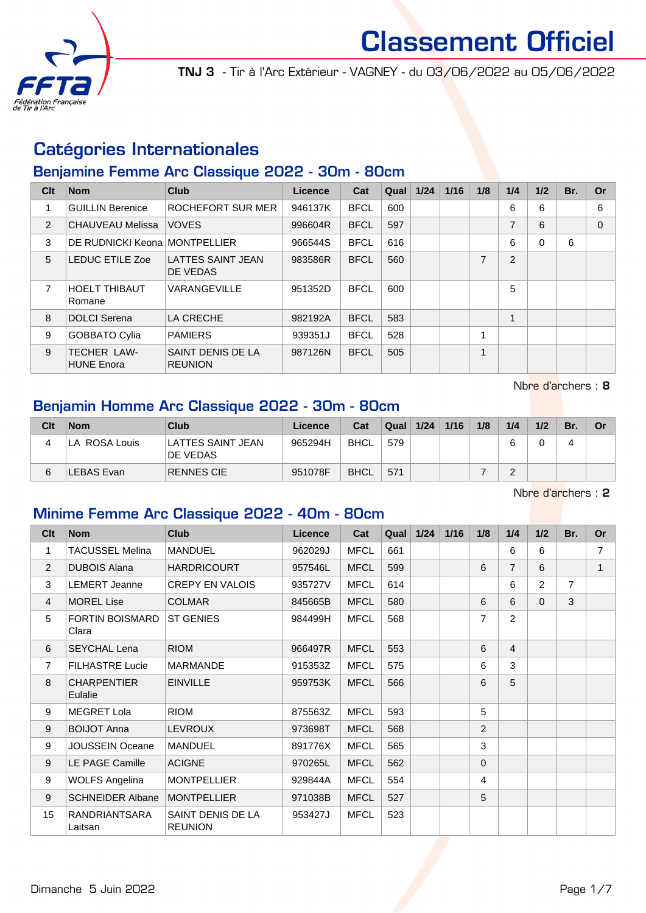

TNJ 3 - Tir à l'Arc Extérieur - VAGNEY - du 03/06/2022 au 05/06/2022

# Catégories Internationales

## Benjamine Femme Arc Classique 2022 - 30m - 80cm

| Clt            | <b>Nom</b>                              | <b>Club</b>                          | Licence | Cat         | Qual | 1/24 | 1/16 | 1/8            | 1/4 | 1/2      | Br. | <b>Or</b> |
|----------------|-----------------------------------------|--------------------------------------|---------|-------------|------|------|------|----------------|-----|----------|-----|-----------|
|                | <b>GUILLIN Berenice</b>                 | ROCHEFORT SUR MER                    | 946137K | <b>BFCL</b> | 600  |      |      |                | 6   | 6        |     | 6         |
| $\overline{2}$ | <b>CHAUVEAU Melissa</b>                 | <b>VOVES</b>                         | 996604R | <b>BFCL</b> | 597  |      |      |                | 7   | 6        |     | $\Omega$  |
| 3              | DE RUDNICKI Keona MONTPELLIER           |                                      | 966544S | <b>BFCL</b> | 616  |      |      |                | 6   | $\Omega$ | 6   |           |
| 5              | <b>LEDUC ETILE Zoe</b>                  | <b>LATTES SAINT JEAN</b><br>DE VEDAS | 983586R | <b>BFCL</b> | 560  |      |      | $\overline{7}$ | 2   |          |     |           |
| 7              | <b>HOELT THIBAUT</b><br>Romane          | VARANGEVILLE                         | 951352D | <b>BFCL</b> | 600  |      |      |                | 5   |          |     |           |
| 8              | <b>DOLCI</b> Serena                     | LA CRECHE                            | 982192A | <b>BFCL</b> | 583  |      |      |                | 4   |          |     |           |
| 9              | <b>GOBBATO Cylia</b>                    | <b>PAMIERS</b>                       | 939351J | <b>BFCL</b> | 528  |      |      |                |     |          |     |           |
| 9              | <b>TECHER LAW-</b><br><b>HUNE Enora</b> | SAINT DENIS DE LA<br><b>REUNION</b>  | 987126N | <b>BFCL</b> | 505  |      |      |                |     |          |     |           |

Nbre d'archers : 8

#### Benjamin Homme Arc Classique 2022 - 30m - 80cm

| Clt | <b>Nom</b>        | Club                                 | Licence | Cat         | Qual | 1/24 | 1/16 | 1/8 | 1/4 | 1/2 | Br. | Or |
|-----|-------------------|--------------------------------------|---------|-------------|------|------|------|-----|-----|-----|-----|----|
|     | LA ROSA Louis     | LATTES SAINT JEAN<br><b>DE VEDAS</b> | 965294H | <b>BHCL</b> | 579  |      |      |     |     |     |     |    |
| 6   | <b>LEBAS Evan</b> | RENNES CIE                           | 951078F | <b>BHCL</b> | 571  |      |      |     | ∼   |     |     |    |

Nbre d'archers : 2

#### Minime Femme Arc Classique 2022 - 40m - 80cm

| C <sub>it</sub> | <b>Nom</b>                      | <b>Club</b>                         | Licence | Cat         | Qual | $1/24$ | 1/16 | 1/8          | 1/4            | 1/2            | Br.            | <b>Or</b>      |
|-----------------|---------------------------------|-------------------------------------|---------|-------------|------|--------|------|--------------|----------------|----------------|----------------|----------------|
| 1               | TACUSSEL Melina                 | <b>MANDUEL</b>                      | 962029J | <b>MFCL</b> | 661  |        |      |              | 6              | 6              |                | $\overline{7}$ |
| $\overline{2}$  | <b>DUBOIS Alana</b>             | <b>HARDRICOURT</b>                  | 957546L | <b>MFCL</b> | 599  |        |      | 6            | $\overline{7}$ | 6              |                | $\mathbf{1}$   |
| 3               | <b>LEMERT Jeanne</b>            | <b>CREPY EN VALOIS</b>              | 935727V | <b>MFCL</b> | 614  |        |      |              | 6              | $\overline{2}$ | $\overline{7}$ |                |
| $\overline{4}$  | <b>MOREL Lise</b>               | <b>COLMAR</b>                       | 845665B | <b>MFCL</b> | 580  |        |      | 6            | 6              | $\Omega$       | 3              |                |
| 5               | <b>FORTIN BOISMARD</b><br>Clara | <b>ST GENIES</b>                    | 984499H | <b>MFCL</b> | 568  |        |      | 7            | 2              |                |                |                |
| 6               | <b>SEYCHAL Lena</b>             | <b>RIOM</b>                         | 966497R | <b>MFCL</b> | 553  |        |      | 6            | $\overline{4}$ |                |                |                |
| $\overline{7}$  | <b>FILHASTRE Lucie</b>          | <b>MARMANDE</b>                     | 915353Z | <b>MFCL</b> | 575  |        |      | 6            | 3              |                |                |                |
| 8               | <b>CHARPENTIER</b><br>Eulalie   | <b>EINVILLE</b>                     | 959753K | <b>MFCL</b> | 566  |        |      | 6            | 5              |                |                |                |
| 9               | <b>MEGRET Lola</b>              | <b>RIOM</b>                         | 875563Z | <b>MFCL</b> | 593  |        |      | 5            |                |                |                |                |
| 9               | <b>BOIJOT Anna</b>              | <b>LEVROUX</b>                      | 973698T | <b>MFCL</b> | 568  |        |      | 2            |                |                |                |                |
| 9               | JOUSSEIN Oceane                 | <b>MANDUEL</b>                      | 891776X | <b>MFCL</b> | 565  |        |      | 3            |                |                |                |                |
| 9               | LE PAGE Camille                 | <b>ACIGNE</b>                       | 970265L | <b>MFCL</b> | 562  |        |      | $\mathbf{0}$ |                |                |                |                |
| 9               | <b>WOLFS Angelina</b>           | <b>MONTPELLIER</b>                  | 929844A | <b>MFCL</b> | 554  |        |      | 4            |                |                |                |                |
| 9               | <b>SCHNEIDER Albane</b>         | <b>MONTPELLIER</b>                  | 971038B | <b>MFCL</b> | 527  |        |      | 5            |                |                |                |                |
| 15              | <b>RANDRIANTSARA</b><br>Laitsan | SAINT DENIS DE LA<br><b>REUNION</b> | 953427J | <b>MFCL</b> | 523  |        |      |              |                |                |                |                |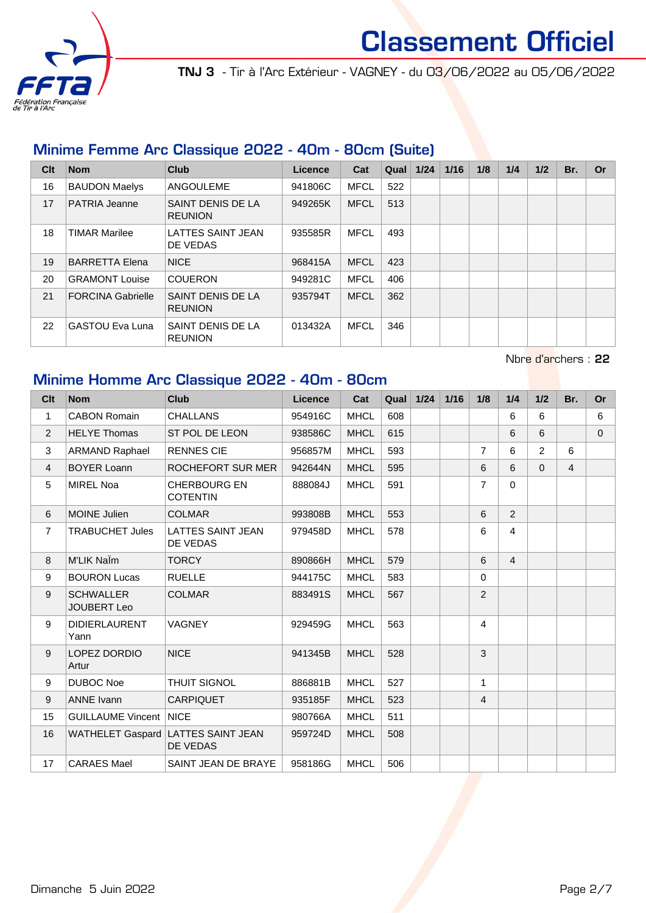

TNJ 3 - Tir à l'Arc Extérieur - VAGNEY - du 03/06/2022 au 05/06/2022

### Minime Femme Arc Classique 2022 - 40m - 80cm (Suite)

| Clt | <b>Nom</b>               | Club                                 | Licence | Cat         | Qual | 1/24 | 1/16 | 1/8 | 1/4 | 1/2 | Br. | Or |
|-----|--------------------------|--------------------------------------|---------|-------------|------|------|------|-----|-----|-----|-----|----|
| 16  | <b>BAUDON Maelys</b>     | ANGOULEME                            | 941806C | <b>MFCL</b> | 522  |      |      |     |     |     |     |    |
| 17  | <b>PATRIA Jeanne</b>     | SAINT DENIS DE LA<br><b>REUNION</b>  | 949265K | <b>MFCL</b> | 513  |      |      |     |     |     |     |    |
| 18  | <b>TIMAR Marilee</b>     | <b>LATTES SAINT JEAN</b><br>DE VEDAS | 935585R | <b>MFCL</b> | 493  |      |      |     |     |     |     |    |
| 19  | BARRETTA Elena           | <b>NICE</b>                          | 968415A | <b>MFCL</b> | 423  |      |      |     |     |     |     |    |
| 20  | <b>GRAMONT Louise</b>    | <b>COUERON</b>                       | 949281C | <b>MFCL</b> | 406  |      |      |     |     |     |     |    |
| 21  | <b>FORCINA Gabrielle</b> | SAINT DENIS DE LA<br><b>REUNION</b>  | 935794T | <b>MFCL</b> | 362  |      |      |     |     |     |     |    |
| 22  | <b>GASTOU Eva Luna</b>   | SAINT DENIS DE LA<br><b>REUNION</b>  | 013432A | <b>MFCL</b> | 346  |      |      |     |     |     |     |    |

Nbre d'archers : 22

## Minime Homme Arc Classique 2022 - 40m - 80cm

| Clt              | <b>Nom</b>                             | <b>Club</b>                                    | Licence | Cat         | Qual | 1/24 | 1/16 | 1/8            | 1/4            | 1/2            | Br.            | <b>Or</b> |
|------------------|----------------------------------------|------------------------------------------------|---------|-------------|------|------|------|----------------|----------------|----------------|----------------|-----------|
| $\mathbf{1}$     | <b>CABON Romain</b>                    | <b>CHALLANS</b>                                | 954916C | <b>MHCL</b> | 608  |      |      |                | 6              | 6              |                | 6         |
| 2                | <b>HELYE Thomas</b>                    | ST POL DE LEON                                 | 938586C | <b>MHCL</b> | 615  |      |      |                | 6              | 6              |                | $\Omega$  |
| 3                | <b>ARMAND Raphael</b>                  | <b>RENNES CIE</b>                              | 956857M | <b>MHCL</b> | 593  |      |      | $\overline{7}$ | 6              | $\overline{2}$ | 6              |           |
| 4                | <b>BOYER Loann</b>                     | ROCHEFORT SUR MER                              | 942644N | <b>MHCL</b> | 595  |      |      | 6              | 6              | $\Omega$       | $\overline{4}$ |           |
| 5                | <b>MIREL Noa</b>                       | <b>CHERBOURG EN</b><br><b>COTENTIN</b>         | 888084J | <b>MHCL</b> | 591  |      |      | $\overline{7}$ | $\Omega$       |                |                |           |
| 6                | <b>MOINE Julien</b>                    | <b>COLMAR</b>                                  | 993808B | <b>MHCL</b> | 553  |      |      | 6              | $\overline{2}$ |                |                |           |
| $\overline{7}$   | <b>TRABUCHET Jules</b>                 | <b>LATTES SAINT JEAN</b><br>DE VEDAS           | 979458D | <b>MHCL</b> | 578  |      |      | 6              | 4              |                |                |           |
| 8                | M'LIK NaÏm                             | <b>TORCY</b>                                   | 890866H | <b>MHCL</b> | 579  |      |      | 6              | $\overline{4}$ |                |                |           |
| $\boldsymbol{9}$ | <b>BOURON Lucas</b>                    | <b>RUELLE</b>                                  | 944175C | <b>MHCL</b> | 583  |      |      | $\Omega$       |                |                |                |           |
| 9                | <b>SCHWALLER</b><br><b>JOUBERT Leo</b> | <b>COLMAR</b>                                  | 883491S | <b>MHCL</b> | 567  |      |      | 2              |                |                |                |           |
| 9                | <b>DIDIERLAURENT</b><br>Yann           | <b>VAGNEY</b>                                  | 929459G | <b>MHCL</b> | 563  |      |      | $\overline{4}$ |                |                |                |           |
| 9                | LOPEZ DORDIO<br>Artur                  | <b>NICE</b>                                    | 941345B | <b>MHCL</b> | 528  |      |      | 3              |                |                |                |           |
| $\boldsymbol{9}$ | <b>DUBOC Noe</b>                       | <b>THUIT SIGNOL</b>                            | 886881B | <b>MHCL</b> | 527  |      |      | $\mathbf{1}$   |                |                |                |           |
| 9                | <b>ANNE Ivann</b>                      | <b>CARPIQUET</b>                               | 935185F | <b>MHCL</b> | 523  |      |      | $\overline{4}$ |                |                |                |           |
| 15               | <b>GUILLAUME Vincent NICE</b>          |                                                | 980766A | <b>MHCL</b> | 511  |      |      |                |                |                |                |           |
| 16               |                                        | WATHELET Gaspard LATTES SAINT JEAN<br>DE VEDAS | 959724D | <b>MHCL</b> | 508  |      |      |                |                |                |                |           |
| 17               | <b>CARAES Mael</b>                     | SAINT JEAN DE BRAYE                            | 958186G | <b>MHCL</b> | 506  |      |      |                |                |                |                |           |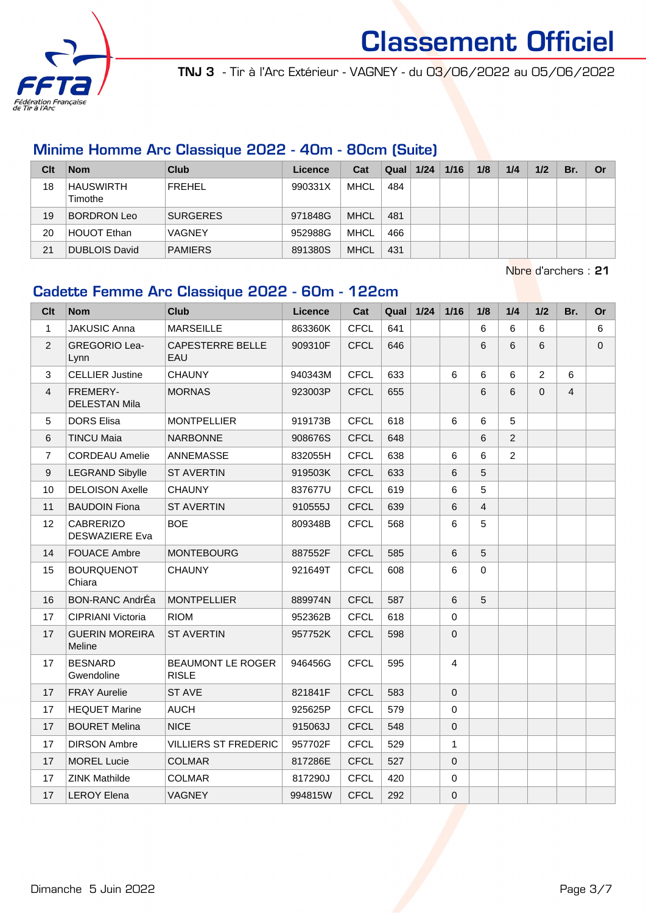

TNJ 3 - Tir à l'Arc Extérieur - VAGNEY - du 03/06/2022 au 05/06/2022

#### Minime Homme Arc Classique 2022 - 40m - 80cm (Suite)

| Clt | <b>Nom</b>                  | <b>Club</b>     | Licence | Cat         | Qual | 1/24 | 1/16 | 1/8 | 1/4 | 1/2 | Br. | Or |
|-----|-----------------------------|-----------------|---------|-------------|------|------|------|-----|-----|-----|-----|----|
| 18  | <b>HAUSWIRTH</b><br>Timothe | FREHEL          | 990331X | <b>MHCL</b> | 484  |      |      |     |     |     |     |    |
| 19  | BORDRON Leo                 | <b>SURGERES</b> | 971848G | <b>MHCL</b> | 481  |      |      |     |     |     |     |    |
| 20  | <b>HOUOT Ethan</b>          | <b>VAGNEY</b>   | 952988G | <b>MHCL</b> | 466  |      |      |     |     |     |     |    |
| 21  | DUBLOIS David               | <b>PAMIERS</b>  | 891380S | <b>MHCL</b> | 431  |      |      |     |     |     |     |    |

Nbre d'archers : 21

#### Cadette Femme Arc Classique 2022 - 60m - 122cm

| Clt            | <b>Nom</b>                                | <b>Club</b>                              | <b>Licence</b> | Cat         | Qual | 1/24 | $1/16$   | 1/8      | 1/4 | 1/2            | Br.            | <b>Or</b>   |
|----------------|-------------------------------------------|------------------------------------------|----------------|-------------|------|------|----------|----------|-----|----------------|----------------|-------------|
| $\mathbf{1}$   | <b>JAKUSIC Anna</b>                       | <b>MARSEILLE</b>                         | 863360K        | <b>CFCL</b> | 641  |      |          | 6        | 6   | 6              |                | 6           |
| $\overline{2}$ | <b>GREGORIO Lea-</b><br>Lynn              | <b>CAPESTERRE BELLE</b><br>EAU           | 909310F        | <b>CFCL</b> | 646  |      |          | 6        | 6   | $6\phantom{a}$ |                | $\mathbf 0$ |
| 3              | <b>CELLIER Justine</b>                    | <b>CHAUNY</b>                            | 940343M        | <b>CFCL</b> | 633  |      | 6        | 6        | 6   | $\overline{2}$ | 6              |             |
| $\overline{4}$ | FREMERY-<br><b>DELESTAN Mila</b>          | <b>MORNAS</b>                            | 923003P        | <b>CFCL</b> | 655  |      |          | 6        | 6   | $\Omega$       | $\overline{4}$ |             |
| 5              | <b>DORS Elisa</b>                         | <b>MONTPELLIER</b>                       | 919173B        | <b>CFCL</b> | 618  |      | 6        | 6        | 5   |                |                |             |
| 6              | <b>TINCU Maia</b>                         | <b>NARBONNE</b>                          | 908676S        | <b>CFCL</b> | 648  |      |          | 6        | 2   |                |                |             |
| $\overline{7}$ | <b>CORDEAU Amelie</b>                     | ANNEMASSE                                | 832055H        | <b>CFCL</b> | 638  |      | 6        | 6        | 2   |                |                |             |
| 9              | <b>LEGRAND Sibylle</b>                    | <b>ST AVERTIN</b>                        | 919503K        | <b>CFCL</b> | 633  |      | 6        | 5        |     |                |                |             |
| 10             | <b>DELOISON Axelle</b>                    | <b>CHAUNY</b>                            | 837677U        | <b>CFCL</b> | 619  |      | 6        | 5        |     |                |                |             |
| 11             | <b>BAUDOIN Fiona</b>                      | <b>ST AVERTIN</b>                        | 910555J        | <b>CFCL</b> | 639  |      | 6        | 4        |     |                |                |             |
| 12             | <b>CABRERIZO</b><br><b>DESWAZIERE Eva</b> | <b>BOE</b>                               | 809348B        | <b>CFCL</b> | 568  |      | 6        | 5        |     |                |                |             |
| 14             | <b>FOUACE Ambre</b>                       | <b>MONTEBOURG</b>                        | 887552F        | <b>CFCL</b> | 585  |      | 6        | 5        |     |                |                |             |
| 15             | <b>BOURQUENOT</b><br>Chiara               | <b>CHAUNY</b>                            | 921649T        | <b>CFCL</b> | 608  |      | 6        | $\Omega$ |     |                |                |             |
| 16             | <b>BON-RANC AndrÉa</b>                    | <b>MONTPELLIER</b>                       | 889974N        | <b>CFCL</b> | 587  |      | 6        | 5        |     |                |                |             |
| 17             | CIPRIANI Victoria                         | <b>RIOM</b>                              | 952362B        | <b>CFCL</b> | 618  |      | 0        |          |     |                |                |             |
| 17             | <b>GUERIN MOREIRA</b><br>Meline           | <b>ST AVERTIN</b>                        | 957752K        | <b>CFCL</b> | 598  |      | 0        |          |     |                |                |             |
| 17             | <b>BESNARD</b><br>Gwendoline              | <b>BEAUMONT LE ROGER</b><br><b>RISLE</b> | 946456G        | <b>CFCL</b> | 595  |      | 4        |          |     |                |                |             |
| 17             | <b>FRAY Aurelie</b>                       | ST AVE                                   | 821841F        | <b>CFCL</b> | 583  |      | $\Omega$ |          |     |                |                |             |
| 17             | <b>HEQUET Marine</b>                      | <b>AUCH</b>                              | 925625P        | <b>CFCL</b> | 579  |      | 0        |          |     |                |                |             |
| 17             | <b>BOURET Melina</b>                      | <b>NICE</b>                              | 915063J        | <b>CFCL</b> | 548  |      | 0        |          |     |                |                |             |
| 17             | <b>DIRSON Ambre</b>                       | <b>VILLIERS ST FREDERIC</b>              | 957702F        | <b>CFCL</b> | 529  |      | 1        |          |     |                |                |             |
| 17             | <b>MOREL Lucie</b>                        | <b>COLMAR</b>                            | 817286E        | <b>CFCL</b> | 527  |      | 0        |          |     |                |                |             |
| 17             | <b>ZINK Mathilde</b>                      | <b>COLMAR</b>                            | 817290J        | <b>CFCL</b> | 420  |      | 0        |          |     |                |                |             |
| 17             | <b>LEROY Elena</b>                        | <b>VAGNEY</b>                            | 994815W        | <b>CFCL</b> | 292  |      | 0        |          |     |                |                |             |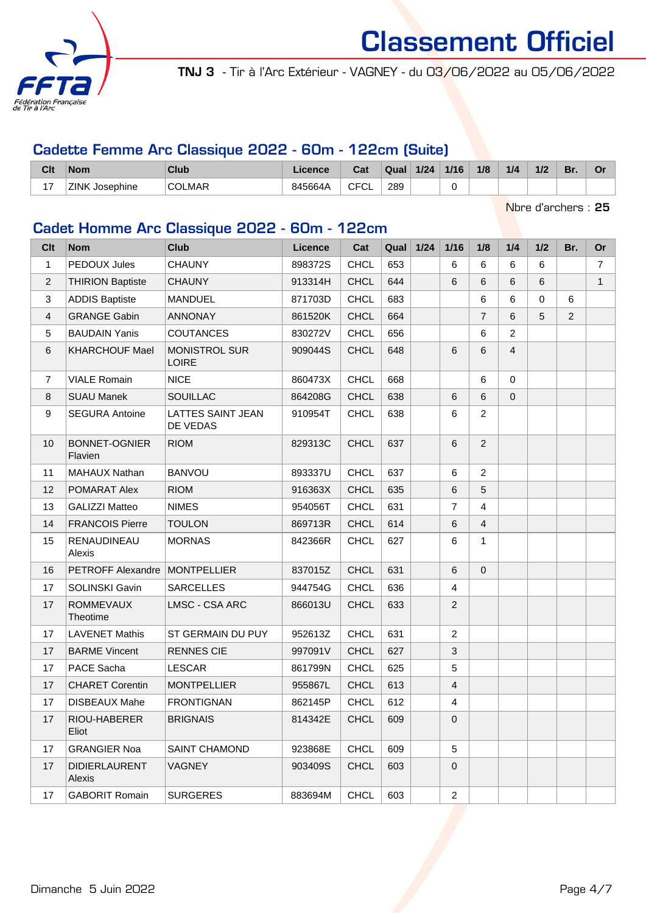

TNJ 3 - Tir à l'Arc Extérieur - VAGNEY - du 03/06/2022 au 05/06/2022

### Cadette Femme Arc Classique 2022 - 60m - 122cm (Suite)

| Clt                             | <b>Nom</b>               | Club          | icence  | Cat                    | Qual | $1/24$ | 1/16 | 1/8 | 1/4 | 1/2 | D, |  |
|---------------------------------|--------------------------|---------------|---------|------------------------|------|--------|------|-----|-----|-----|----|--|
| $\overline{\phantom{a}}$<br>. . | <b>ZINK</b><br>Josephine | <b>COLMAR</b> | 845664A | <b>CECI</b><br>◡<br>◡∟ | 289  |        | u    |     |     |     |    |  |

Nbre d'archers : 25

### Cadet Homme Arc Classique 2022 - 60m - 122cm

| Clt            | <b>Nom</b>                      | <b>Club</b>                          | Licence | Cat         | Qual | $1/24$ | $1/16$         | 1/8            | 1/4            | 1/2      | Br.            | Or             |
|----------------|---------------------------------|--------------------------------------|---------|-------------|------|--------|----------------|----------------|----------------|----------|----------------|----------------|
| 1              | PEDOUX Jules                    | <b>CHAUNY</b>                        | 898372S | <b>CHCL</b> | 653  |        | 6              | 6              | 6              | 6        |                | $\overline{7}$ |
| $\overline{2}$ | <b>THIRION Baptiste</b>         | <b>CHAUNY</b>                        | 913314H | <b>CHCL</b> | 644  |        | 6              | 6              | 6              | 6        |                | $\mathbf{1}$   |
| 3              | <b>ADDIS Baptiste</b>           | <b>MANDUEL</b>                       | 871703D | <b>CHCL</b> | 683  |        |                | 6              | 6              | $\Omega$ | 6              |                |
| $\overline{4}$ | <b>GRANGE Gabin</b>             | <b>ANNONAY</b>                       | 861520K | <b>CHCL</b> | 664  |        |                | $\overline{7}$ | 6              | 5        | $\overline{2}$ |                |
| 5              | <b>BAUDAIN Yanis</b>            | <b>COUTANCES</b>                     | 830272V | <b>CHCL</b> | 656  |        |                | 6              | 2              |          |                |                |
| 6              | <b>KHARCHOUF Mael</b>           | <b>MONISTROL SUR</b><br><b>LOIRE</b> | 909044S | <b>CHCL</b> | 648  |        | 6              | 6              | $\overline{4}$ |          |                |                |
| $\overline{7}$ | <b>VIALE Romain</b>             | <b>NICE</b>                          | 860473X | <b>CHCL</b> | 668  |        |                | 6              | $\mathbf 0$    |          |                |                |
| 8              | <b>SUAU Manek</b>               | <b>SOUILLAC</b>                      | 864208G | <b>CHCL</b> | 638  |        | 6              | 6              | $\mathbf 0$    |          |                |                |
| 9              | <b>SEGURA Antoine</b>           | <b>LATTES SAINT JEAN</b><br>DE VEDAS | 910954T | <b>CHCL</b> | 638  |        | 6              | $\overline{2}$ |                |          |                |                |
| 10             | <b>BONNET-OGNIER</b><br>Flavien | <b>RIOM</b>                          | 829313C | <b>CHCL</b> | 637  |        | 6              | $\overline{2}$ |                |          |                |                |
| 11             | <b>MAHAUX Nathan</b>            | <b>BANVOU</b>                        | 893337U | <b>CHCL</b> | 637  |        | 6              | 2              |                |          |                |                |
| 12             | POMARAT Alex                    | <b>RIOM</b>                          | 916363X | <b>CHCL</b> | 635  |        | 6              | 5              |                |          |                |                |
| 13             | <b>GALIZZI Matteo</b>           | <b>NIMES</b>                         | 954056T | <b>CHCL</b> | 631  |        | $\overline{7}$ | $\overline{4}$ |                |          |                |                |
| 14             | <b>FRANCOIS Pierre</b>          | <b>TOULON</b>                        | 869713R | <b>CHCL</b> | 614  |        | 6              | $\overline{4}$ |                |          |                |                |
| 15             | RENAUDINEAU<br>Alexis           | <b>MORNAS</b>                        | 842366R | <b>CHCL</b> | 627  |        | 6              | $\mathbf{1}$   |                |          |                |                |
| 16             | PETROFF Alexandre   MONTPELLIER |                                      | 837015Z | <b>CHCL</b> | 631  |        | 6              | $\mathbf 0$    |                |          |                |                |
| 17             | <b>SOLINSKI Gavin</b>           | <b>SARCELLES</b>                     | 944754G | <b>CHCL</b> | 636  |        | $\overline{4}$ |                |                |          |                |                |
| 17             | <b>ROMMEVAUX</b><br>Theotime    | LMSC - CSA ARC                       | 866013U | <b>CHCL</b> | 633  |        | $\overline{2}$ |                |                |          |                |                |
| 17             | <b>LAVENET Mathis</b>           | ST GERMAIN DU PUY                    | 952613Z | <b>CHCL</b> | 631  |        | $\overline{2}$ |                |                |          |                |                |
| 17             | <b>BARME Vincent</b>            | <b>RENNES CIE</b>                    | 997091V | <b>CHCL</b> | 627  |        | $\mathfrak{B}$ |                |                |          |                |                |
| 17             | PACE Sacha                      | <b>LESCAR</b>                        | 861799N | <b>CHCL</b> | 625  |        | 5              |                |                |          |                |                |
| 17             | <b>CHARET Corentin</b>          | <b>MONTPELLIER</b>                   | 955867L | <b>CHCL</b> | 613  |        | $\overline{4}$ |                |                |          |                |                |
| 17             | DISBEAUX Mahe                   | <b>FRONTIGNAN</b>                    | 862145P | <b>CHCL</b> | 612  |        | 4              |                |                |          |                |                |
| 17             | RIOU-HABERER<br>Eliot           | <b>BRIGNAIS</b>                      | 814342E | <b>CHCL</b> | 609  |        | 0              |                |                |          |                |                |
| 17             | <b>GRANGIER Noa</b>             | <b>SAINT CHAMOND</b>                 | 923868E | <b>CHCL</b> | 609  |        | 5              |                |                |          |                |                |
| 17             | <b>DIDIERLAURENT</b><br>Alexis  | <b>VAGNEY</b>                        | 903409S | <b>CHCL</b> | 603  |        | 0              |                |                |          |                |                |
| 17             | <b>GABORIT Romain</b>           | <b>SURGERES</b>                      | 883694M | <b>CHCL</b> | 603  |        | $\overline{2}$ |                |                |          |                |                |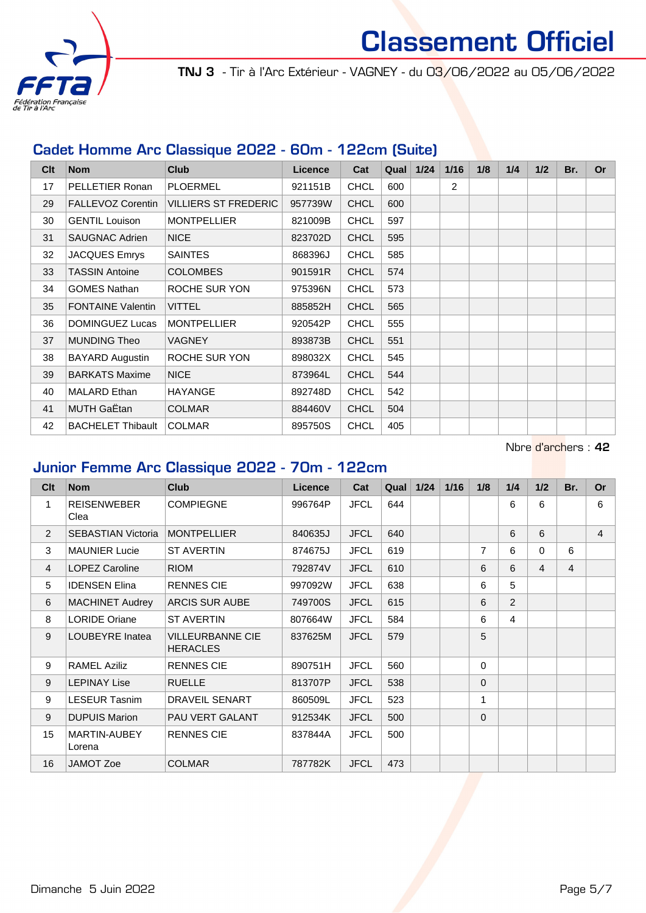

TNJ 3 - Tir à l'Arc Extérieur - VAGNEY - du 03/06/2022 au 05/06/2022

#### Cadet Homme Arc Classique 2022 - 60m - 122cm (Suite)

| Clt | <b>Nom</b>               | Club                        | <b>Licence</b> | Cat         | Qual | 1/24 | 1/16 | 1/8 | 1/4 | 1/2 | Br. | <b>Or</b> |
|-----|--------------------------|-----------------------------|----------------|-------------|------|------|------|-----|-----|-----|-----|-----------|
| 17  | PELLETIER Ronan          | <b>PLOERMEL</b>             | 921151B        | <b>CHCL</b> | 600  |      | 2    |     |     |     |     |           |
| 29  | <b>FALLEVOZ Corentin</b> | <b>VILLIERS ST FREDERIC</b> | 957739W        | <b>CHCL</b> | 600  |      |      |     |     |     |     |           |
| 30  | <b>GENTIL Louison</b>    | <b>MONTPELLIER</b>          | 821009B        | <b>CHCL</b> | 597  |      |      |     |     |     |     |           |
| 31  | <b>SAUGNAC Adrien</b>    | <b>NICE</b>                 | 823702D        | <b>CHCL</b> | 595  |      |      |     |     |     |     |           |
| 32  | <b>JACQUES Emrys</b>     | <b>SAINTES</b>              | 868396J        | <b>CHCL</b> | 585  |      |      |     |     |     |     |           |
| 33  | <b>TASSIN Antoine</b>    | <b>COLOMBES</b>             | 901591R        | <b>CHCL</b> | 574  |      |      |     |     |     |     |           |
| 34  | <b>GOMES Nathan</b>      | ROCHE SUR YON               | 975396N        | <b>CHCL</b> | 573  |      |      |     |     |     |     |           |
| 35  | <b>FONTAINE Valentin</b> | <b>VITTEL</b>               | 885852H        | <b>CHCL</b> | 565  |      |      |     |     |     |     |           |
| 36  | DOMINGUEZ Lucas          | <b>MONTPELLIER</b>          | 920542P        | <b>CHCL</b> | 555  |      |      |     |     |     |     |           |
| 37  | <b>MUNDING Theo</b>      | <b>VAGNEY</b>               | 893873B        | <b>CHCL</b> | 551  |      |      |     |     |     |     |           |
| 38  | BAYARD Augustin          | ROCHE SUR YON               | 898032X        | <b>CHCL</b> | 545  |      |      |     |     |     |     |           |
| 39  | <b>BARKATS Maxime</b>    | <b>NICE</b>                 | 873964L        | <b>CHCL</b> | 544  |      |      |     |     |     |     |           |
| 40  | <b>MALARD</b> Ethan      | <b>HAYANGE</b>              | 892748D        | <b>CHCL</b> | 542  |      |      |     |     |     |     |           |
| 41  | MUTH GaËtan              | <b>COLMAR</b>               | 884460V        | <b>CHCL</b> | 504  |      |      |     |     |     |     |           |
| 42  | <b>BACHELET Thibault</b> | <b>COLMAR</b>               | 895750S        | <b>CHCL</b> | 405  |      |      |     |     |     |     |           |

Nbre d'archers : 42

### Junior Femme Arc Classique 2022 - 70m - 122cm

| Cl <sub>t</sub> | <b>Nom</b>                 | <b>Club</b>                                | <b>Licence</b> | Cat         | Qual | $1/24$ | 1/16 | 1/8            | 1/4            | 1/2 | Br.            | <b>Or</b>      |
|-----------------|----------------------------|--------------------------------------------|----------------|-------------|------|--------|------|----------------|----------------|-----|----------------|----------------|
| 1               | <b>REISENWEBER</b><br>Clea | <b>COMPIEGNE</b>                           | 996764P        | <b>JFCL</b> | 644  |        |      |                | 6              | 6   |                | 6              |
| 2               | <b>SEBASTIAN Victoria</b>  | <b>MONTPELLIER</b>                         | 840635J        | <b>JFCL</b> | 640  |        |      |                | 6              | 6   |                | $\overline{4}$ |
| 3               | <b>MAUNIER Lucie</b>       | <b>ST AVERTIN</b>                          | 874675J        | <b>JFCL</b> | 619  |        |      | $\overline{7}$ | 6              | 0   | 6              |                |
| $\overline{4}$  | <b>LOPEZ Caroline</b>      | <b>RIOM</b>                                | 792874V        | <b>JFCL</b> | 610  |        |      | 6              | 6              | 4   | $\overline{4}$ |                |
| 5               | <b>IDENSEN Elina</b>       | <b>RENNES CIE</b>                          | 997092W        | <b>JFCL</b> | 638  |        |      | 6              | 5              |     |                |                |
| 6               | <b>MACHINET Audrey</b>     | <b>ARCIS SUR AUBE</b>                      | 749700S        | <b>JFCL</b> | 615  |        |      | 6              | $\overline{2}$ |     |                |                |
| 8               | <b>LORIDE Oriane</b>       | <b>ST AVERTIN</b>                          | 807664W        | <b>JFCL</b> | 584  |        |      | 6              | 4              |     |                |                |
| 9               | LOUBEYRE Inatea            | <b>VILLEURBANNE CIE</b><br><b>HERACLES</b> | 837625M        | <b>JFCL</b> | 579  |        |      | 5              |                |     |                |                |
| 9               | <b>RAMEL Aziliz</b>        | <b>RENNES CIE</b>                          | 890751H        | <b>JFCL</b> | 560  |        |      | $\Omega$       |                |     |                |                |
| 9               | <b>LEPINAY Lise</b>        | <b>RUELLE</b>                              | 813707P        | <b>JFCL</b> | 538  |        |      | $\Omega$       |                |     |                |                |
| 9               | <b>LESEUR Tasnim</b>       | <b>DRAVEIL SENART</b>                      | 860509L        | <b>JFCL</b> | 523  |        |      | 1              |                |     |                |                |
| 9               | <b>DUPUIS Marion</b>       | PAU VERT GALANT                            | 912534K        | <b>JFCL</b> | 500  |        |      | $\Omega$       |                |     |                |                |
| 15              | MARTIN-AUBEY<br>Lorena     | <b>RENNES CIE</b>                          | 837844A        | <b>JFCL</b> | 500  |        |      |                |                |     |                |                |
| 16              | <b>JAMOT Zoe</b>           | <b>COLMAR</b>                              | 787782K        | <b>JFCL</b> | 473  |        |      |                |                |     |                |                |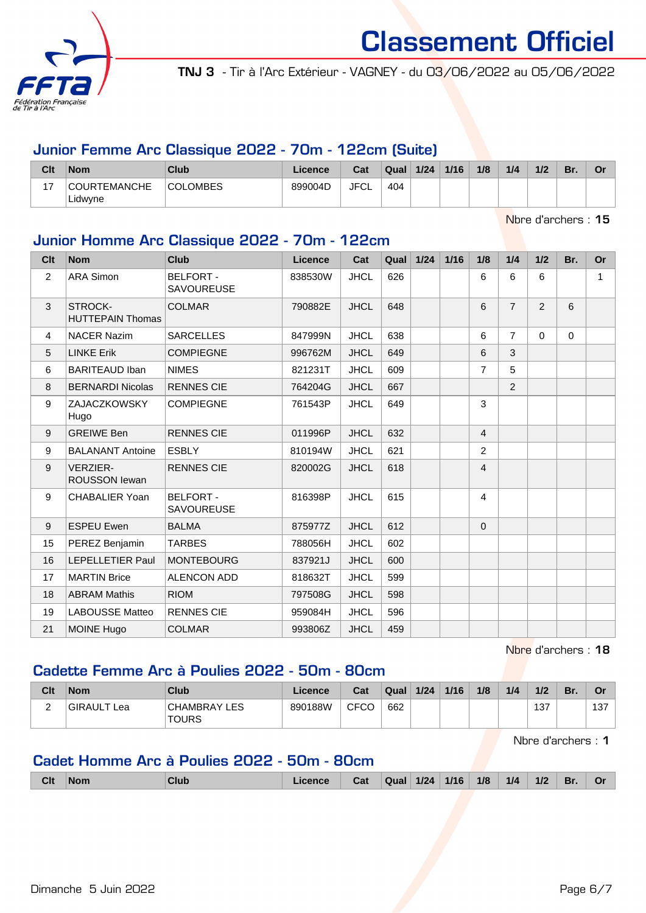

TNJ 3 - Tir à l'Arc Extérieur - VAGNEY - du 03/06/2022 au 05/06/2022

#### Junior Femme Arc Classique 2022 - 70m - 122cm (Suite)

| Clt                      | <b>Nom</b>                     | Club            | Licence | Cat         | Qual | 1/24 | 1/16 | 1/8 | 1/4 | 1/2 | Br. | Λ.<br>ັ |
|--------------------------|--------------------------------|-----------------|---------|-------------|------|------|------|-----|-----|-----|-----|---------|
| $\overline{\phantom{a}}$ | <b>COURTEMANCHE</b><br>Lidwyne | <b>COLOMBES</b> | 899004D | <b>JFCL</b> | 404  |      |      |     |     |     |     |         |

Nbre d'archers : 15

## Junior Homme Arc Classique 2022 - 70m - 122cm

| Clt            | <b>Nom</b>                              | <b>Club</b>                           | Licence | Cat         | Qual | 1/24 | $1/16$ | 1/8            | 1/4            | 1/2            | Br.      | <b>Or</b> |
|----------------|-----------------------------------------|---------------------------------------|---------|-------------|------|------|--------|----------------|----------------|----------------|----------|-----------|
| $\overline{2}$ | <b>ARA Simon</b>                        | <b>BELFORT -</b><br><b>SAVOUREUSE</b> | 838530W | <b>JHCL</b> | 626  |      |        | 6              | 6              | 6              |          | 1         |
| 3              | STROCK-<br><b>HUTTEPAIN Thomas</b>      | <b>COLMAR</b>                         | 790882E | <b>JHCL</b> | 648  |      |        | 6              | $\overline{7}$ | $\overline{2}$ | 6        |           |
| 4              | <b>NACER Nazim</b>                      | <b>SARCELLES</b>                      | 847999N | <b>JHCL</b> | 638  |      |        | 6              | $\overline{7}$ | $\Omega$       | $\Omega$ |           |
| 5              | <b>LINKE Erik</b>                       | <b>COMPIEGNE</b>                      | 996762M | <b>JHCL</b> | 649  |      |        | 6              | 3              |                |          |           |
| 6              | <b>BARITEAUD Iban</b>                   | <b>NIMES</b>                          | 821231T | <b>JHCL</b> | 609  |      |        | $\overline{7}$ | 5              |                |          |           |
| 8              | <b>BERNARDI Nicolas</b>                 | <b>RENNES CIE</b>                     | 764204G | <b>JHCL</b> | 667  |      |        |                | 2              |                |          |           |
| 9              | <b>ZAJACZKOWSKY</b><br>Hugo             | <b>COMPIEGNE</b>                      | 761543P | <b>JHCL</b> | 649  |      |        | 3              |                |                |          |           |
| 9              | <b>GREIWE Ben</b>                       | <b>RENNES CIE</b>                     | 011996P | <b>JHCL</b> | 632  |      |        | $\overline{4}$ |                |                |          |           |
| 9              | <b>BALANANT Antoine</b>                 | <b>ESBLY</b>                          | 810194W | <b>JHCL</b> | 621  |      |        | $\overline{2}$ |                |                |          |           |
| 9              | <b>VERZIER-</b><br><b>ROUSSON lewan</b> | <b>RENNES CIE</b>                     | 820002G | <b>JHCL</b> | 618  |      |        | $\overline{4}$ |                |                |          |           |
| 9              | <b>CHABALIER Yoan</b>                   | <b>BELFORT -</b><br><b>SAVOUREUSE</b> | 816398P | <b>JHCL</b> | 615  |      |        | $\overline{4}$ |                |                |          |           |
| 9              | <b>ESPEU Ewen</b>                       | <b>BALMA</b>                          | 875977Z | <b>JHCL</b> | 612  |      |        | $\Omega$       |                |                |          |           |
| 15             | PEREZ Benjamin                          | <b>TARBES</b>                         | 788056H | <b>JHCL</b> | 602  |      |        |                |                |                |          |           |
| 16             | LEPELLETIER Paul                        | <b>MONTEBOURG</b>                     | 837921J | <b>JHCL</b> | 600  |      |        |                |                |                |          |           |
| 17             | <b>MARTIN Brice</b>                     | <b>ALENCON ADD</b>                    | 818632T | <b>JHCL</b> | 599  |      |        |                |                |                |          |           |
| 18             | <b>ABRAM Mathis</b>                     | <b>RIOM</b>                           | 797508G | <b>JHCL</b> | 598  |      |        |                |                |                |          |           |
| 19             | <b>LABOUSSE Matteo</b>                  | <b>RENNES CIE</b>                     | 959084H | <b>JHCL</b> | 596  |      |        |                |                |                |          |           |
| 21             | <b>MOINE Hugo</b>                       | <b>COLMAR</b>                         | 993806Z | <b>JHCL</b> | 459  |      |        |                |                |                |          |           |

Nbre d'archers : 18

# Cadette Femme Arc à Poulies 2022 - 50m - 80cm

| Clt    | <b>Nom</b>  | Club                         | Licence | Cat  | Qual | 1/24 | 1/16 | 1/8 | 1/4 | 1/2 | Br. | Or  |
|--------|-------------|------------------------------|---------|------|------|------|------|-----|-----|-----|-----|-----|
| r<br>- | GIRAULT Lea | CHAMBRAY LES<br><b>TOURS</b> | 890188W | CFCO | 662  |      |      |     |     | 137 |     | 137 |

Nbre d'archers : 1

## Cadet Homme Arc à Poulies 2022 - 50m - 80cm

|  | <b>Clt</b> | <b>Nom</b> | Club | icence | Cat | Qual | 1/24 | 1/16 | 1/8 | 1/4 | 1/2 | Br. | O |
|--|------------|------------|------|--------|-----|------|------|------|-----|-----|-----|-----|---|
|--|------------|------------|------|--------|-----|------|------|------|-----|-----|-----|-----|---|